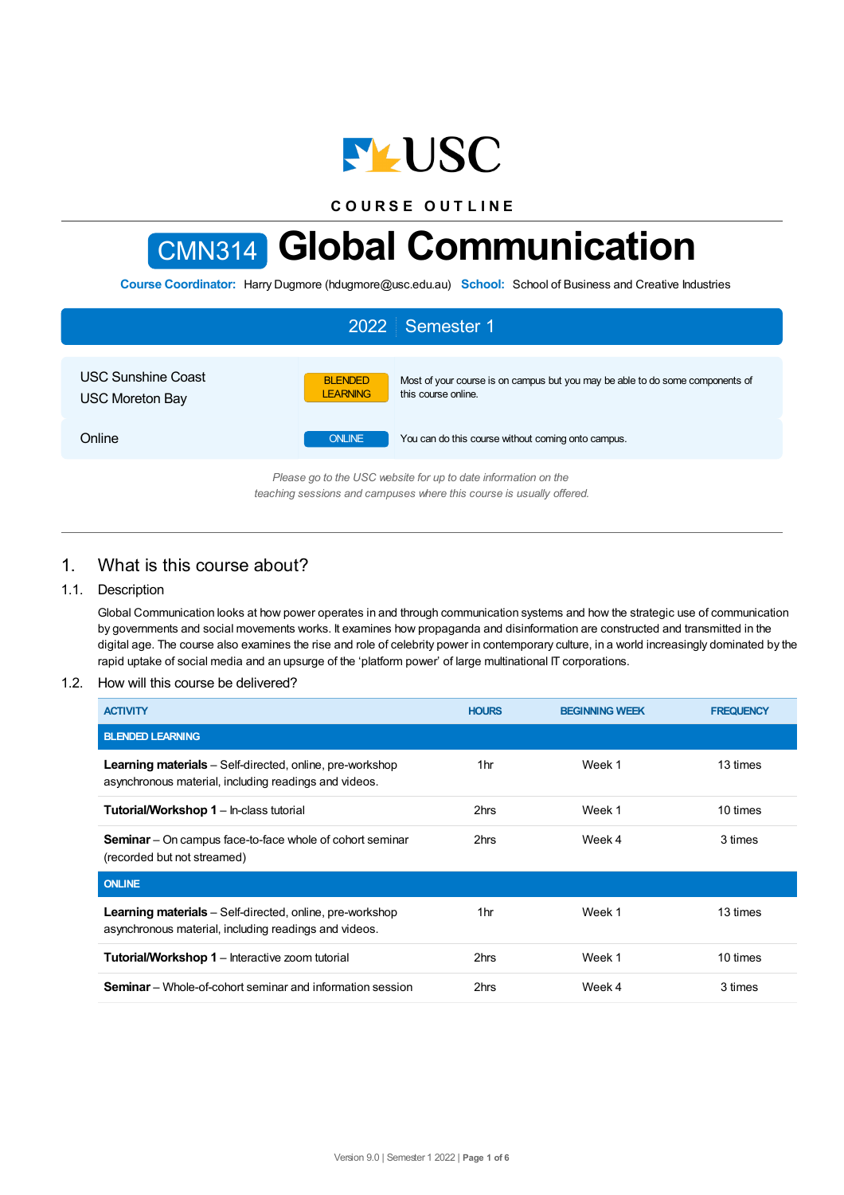

**C O U R S E O U T L I N E**

# CMN314 **Global Communication**

**Course Coordinator:** Harry Dugmore (hdugmore@usc.edu.au) **School:** School of Business and Creative Industries

| 2022 Semester 1                                                   |                                   |                                                                                                      |  |  |  |
|-------------------------------------------------------------------|-----------------------------------|------------------------------------------------------------------------------------------------------|--|--|--|
| <b>USC Sunshine Coast</b><br><b>USC Moreton Bay</b>               | <b>BLENDED</b><br><b>LEARNING</b> | Most of your course is on campus but you may be able to do some components of<br>this course online. |  |  |  |
| Online                                                            | <b>ONLINE</b>                     | You can do this course without coming onto campus.                                                   |  |  |  |
| $Dlooseo$ as to the USC unheits for un to date information on the |                                   |                                                                                                      |  |  |  |

*Please go to the USC website for up to date information on the teaching sessions and campuses where this course is usually offered.*

# 1. What is this course about?

## 1.1. Description

Global Communication looks at how power operates in and through communication systems and how the strategic use of communication by governments and social movements works. It examines how propaganda and disinformation are constructed and transmitted in the digital age. The course also examines the rise and role of celebrity power in contemporary culture, in a world increasingly dominated by the rapid uptake of social media and an upsurge of the 'platform power' of large multinational IT corporations.

## 1.2. How will this course be delivered?

| <b>ACTIVITY</b>                                                                                                          | <b>HOURS</b>    | <b>BEGINNING WEEK</b> | <b>FREQUENCY</b> |
|--------------------------------------------------------------------------------------------------------------------------|-----------------|-----------------------|------------------|
| <b>BLENDED LEARNING</b>                                                                                                  |                 |                       |                  |
| Learning materials - Self-directed, online, pre-workshop<br>asynchronous material, including readings and videos.        | 1 <sub>hr</sub> | Week 1                | 13 times         |
| <b>Tutorial/Workshop 1</b> – In-class tutorial                                                                           | 2hrs            | Week 1                | 10 times         |
| <b>Seminar</b> – On campus face-to-face whole of cohort seminar<br>(recorded but not streamed)                           | 2hrs            | Week 4                | 3 times          |
| <b>ONLINE</b>                                                                                                            |                 |                       |                  |
| <b>Learning materials</b> – Self-directed, online, pre-workshop<br>asynchronous material, including readings and videos. | 1hr             | Week 1                | 13 times         |
| <b>Tutorial/Workshop 1</b> – Interactive zoom tutorial                                                                   | 2hrs            | Week 1                | 10 times         |
| <b>Seminar</b> – Whole-of-cohort seminar and information session                                                         | 2hrs            | Week 4                | 3 times          |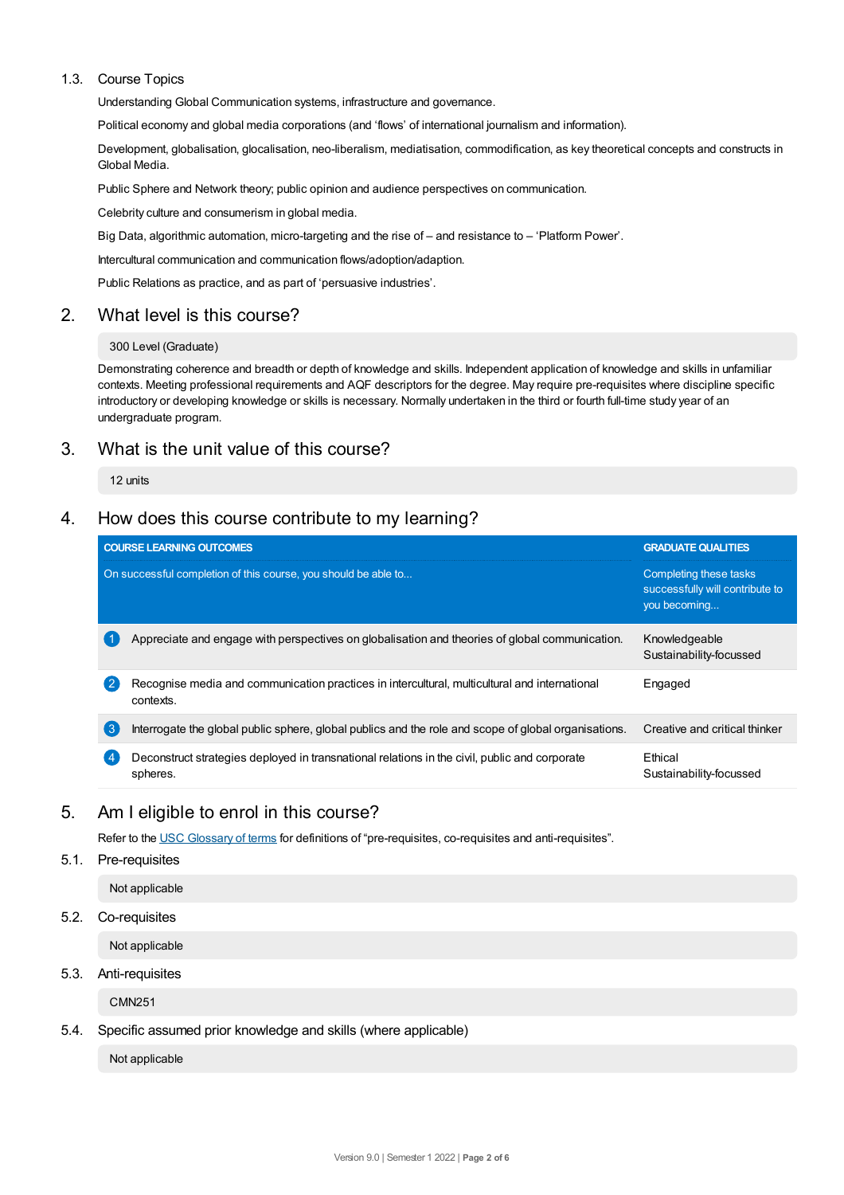## 1.3. Course Topics

Understanding Global Communication systems, infrastructure and governance.

Political economy and global media corporations (and 'flows' of international journalism and information).

Development, globalisation, glocalisation, neo-liberalism, mediatisation, commodification, as key theoretical concepts and constructs in Global Media.

Public Sphere and Network theory; public opinion and audience perspectives on communication.

Celebrity culture and consumerism in global media.

Big Data, algorithmic automation, micro-targeting and the rise of – and resistance to – 'Platform Power'.

Intercultural communication and communication flows/adoption/adaption.

Public Relations as practice, and as part of 'persuasive industries'.

# 2. What level is this course?

#### 300 Level (Graduate)

Demonstrating coherence and breadth or depth of knowledge and skills. Independent application of knowledge and skills in unfamiliar contexts. Meeting professional requirements and AQF descriptors for the degree. May require pre-requisites where discipline specific introductory or developing knowledge or skills is necessary. Normally undertaken in the third or fourth full-time study year of an undergraduate program.

# 3. What is the unit value of this course?

12 units

# 4. How does this course contribute to my learning?

|                    | <b>COURSE LEARNING OUTCOMES</b>                                                                            | <b>GRADUATE QUALITIES</b><br>Completing these tasks<br>successfully will contribute to<br>you becoming |  |
|--------------------|------------------------------------------------------------------------------------------------------------|--------------------------------------------------------------------------------------------------------|--|
|                    | On successful completion of this course, you should be able to                                             |                                                                                                        |  |
|                    | Appreciate and engage with perspectives on globalisation and theories of global communication.             | Knowledgeable<br>Sustainability-focussed                                                               |  |
| $\overline{2}$     | Recognise media and communication practices in intercultural, multicultural and international<br>contexts. | Engaged                                                                                                |  |
| $\left(3\right)$   | Interrogate the global public sphere, global publics and the role and scope of global organisations.       | Creative and critical thinker                                                                          |  |
| $\left( 4 \right)$ | Deconstruct strategies deployed in transnational relations in the civil, public and corporate<br>spheres.  | Ethical<br>Sustainability-focussed                                                                     |  |

# 5. Am Ieligible to enrol in this course?

Refer to the USC [Glossary](https://www.usc.edu.au/about/policies-and-procedures/glossary-of-terms-for-policy-and-procedures) of terms for definitions of "pre-requisites, co-requisites and anti-requisites".

5.1. Pre-requisites

Not applicable

5.2. Co-requisites

Not applicable

5.3. Anti-requisites

CMN251

5.4. Specific assumed prior knowledge and skills (where applicable)

Not applicable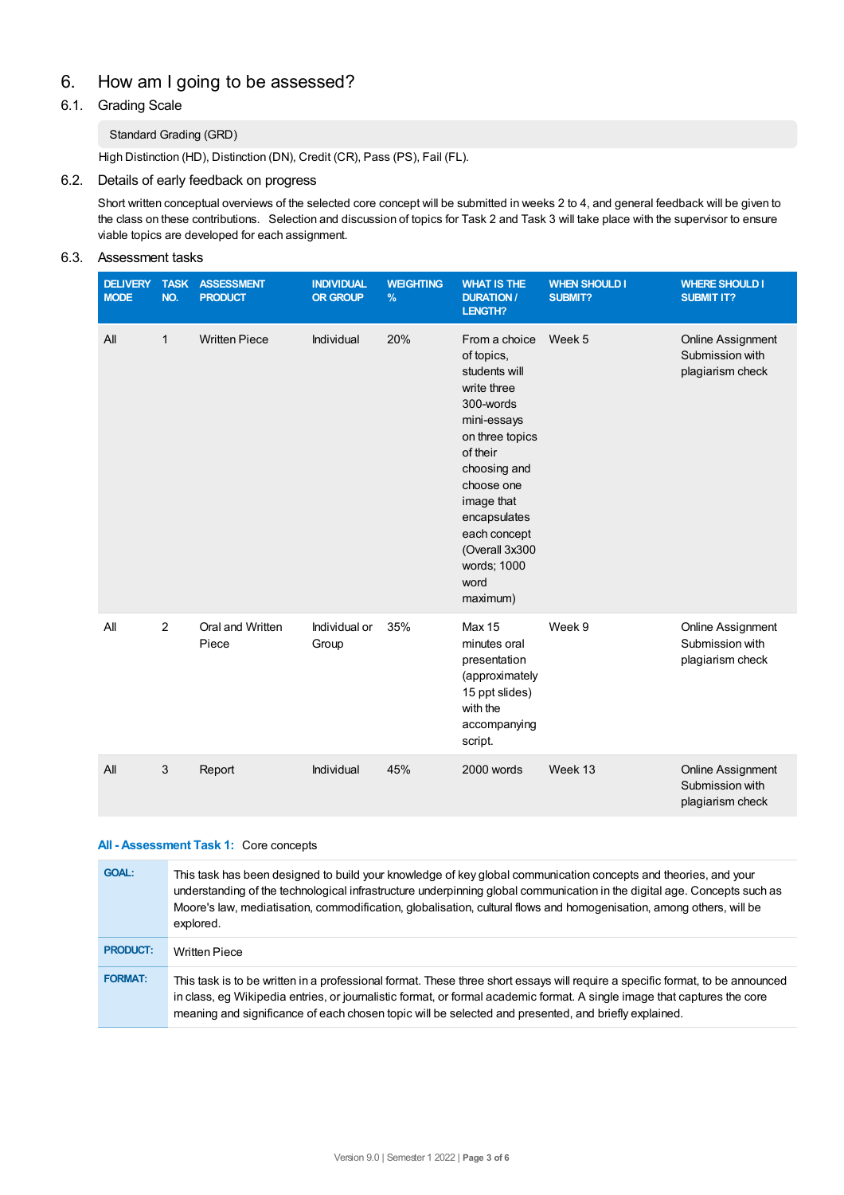# 6. How am Igoing to be assessed?

# 6.1. Grading Scale

# Standard Grading (GRD)

High Distinction (HD), Distinction (DN), Credit (CR), Pass (PS), Fail (FL).

## 6.2. Details of early feedback on progress

Short written conceptual overviews of the selected core concept will be submitted in weeks 2 to 4, and general feedback will be given to the class on these contributions. Selection and discussion of topics for Task 2 and Task 3 will take place with the supervisor to ensure viable topics are developed for each assignment.

## 6.3. Assessment tasks

| <b>DELIVERY</b><br><b>MODE</b> | <b>TASK</b><br>NO. | <b>ASSESSMENT</b><br><b>PRODUCT</b> | <b>INDIVIDUAL</b><br><b>OR GROUP</b> | <b>WEIGHTING</b><br>% | <b>WHAT IS THE</b><br><b>DURATION /</b><br><b>LENGTH?</b>                                                                                                                                                                                               | <b>WHEN SHOULD I</b><br><b>SUBMIT?</b> | <b>WHERE SHOULD I</b><br><b>SUBMIT IT?</b>                      |
|--------------------------------|--------------------|-------------------------------------|--------------------------------------|-----------------------|---------------------------------------------------------------------------------------------------------------------------------------------------------------------------------------------------------------------------------------------------------|----------------------------------------|-----------------------------------------------------------------|
| All                            | $\mathbf{1}$       | <b>Written Piece</b>                | Individual                           | 20%                   | From a choice<br>of topics,<br>students will<br>write three<br>300-words<br>mini-essays<br>on three topics<br>of their<br>choosing and<br>choose one<br>image that<br>encapsulates<br>each concept<br>(Overall 3x300<br>words; 1000<br>word<br>maximum) | Week 5                                 | <b>Online Assignment</b><br>Submission with<br>plagiarism check |
| All                            | 2                  | Oral and Written<br>Piece           | Individual or<br>Group               | 35%                   | <b>Max 15</b><br>minutes oral<br>presentation<br>(approximately<br>15 ppt slides)<br>with the<br>accompanying<br>script.                                                                                                                                | Week 9                                 | <b>Online Assignment</b><br>Submission with<br>plagiarism check |
| All                            | 3                  | Report                              | Individual                           | 45%                   | 2000 words                                                                                                                                                                                                                                              | Week 13                                | Online Assignment<br>Submission with<br>plagiarism check        |

#### **All - Assessment Task 1:** Core concepts

| <b>GOAL:</b>    | This task has been designed to build your knowledge of key global communication concepts and theories, and your<br>understanding of the technological infrastructure underpinning global communication in the digital age. Concepts such as<br>Moore's law, mediatisation, commodification, globalisation, cultural flows and homogenisation, among others, will be<br>explored. |
|-----------------|----------------------------------------------------------------------------------------------------------------------------------------------------------------------------------------------------------------------------------------------------------------------------------------------------------------------------------------------------------------------------------|
| <b>PRODUCT:</b> | <b>Written Piece</b>                                                                                                                                                                                                                                                                                                                                                             |
| <b>FORMAT:</b>  | This task is to be written in a professional format. These three short essays will require a specific format, to be announced<br>in class, eq Wikipedia entries, or journalistic format, or formal academic format. A single image that captures the core<br>meaning and significance of each chosen topic will be selected and presented, and briefly explained.                |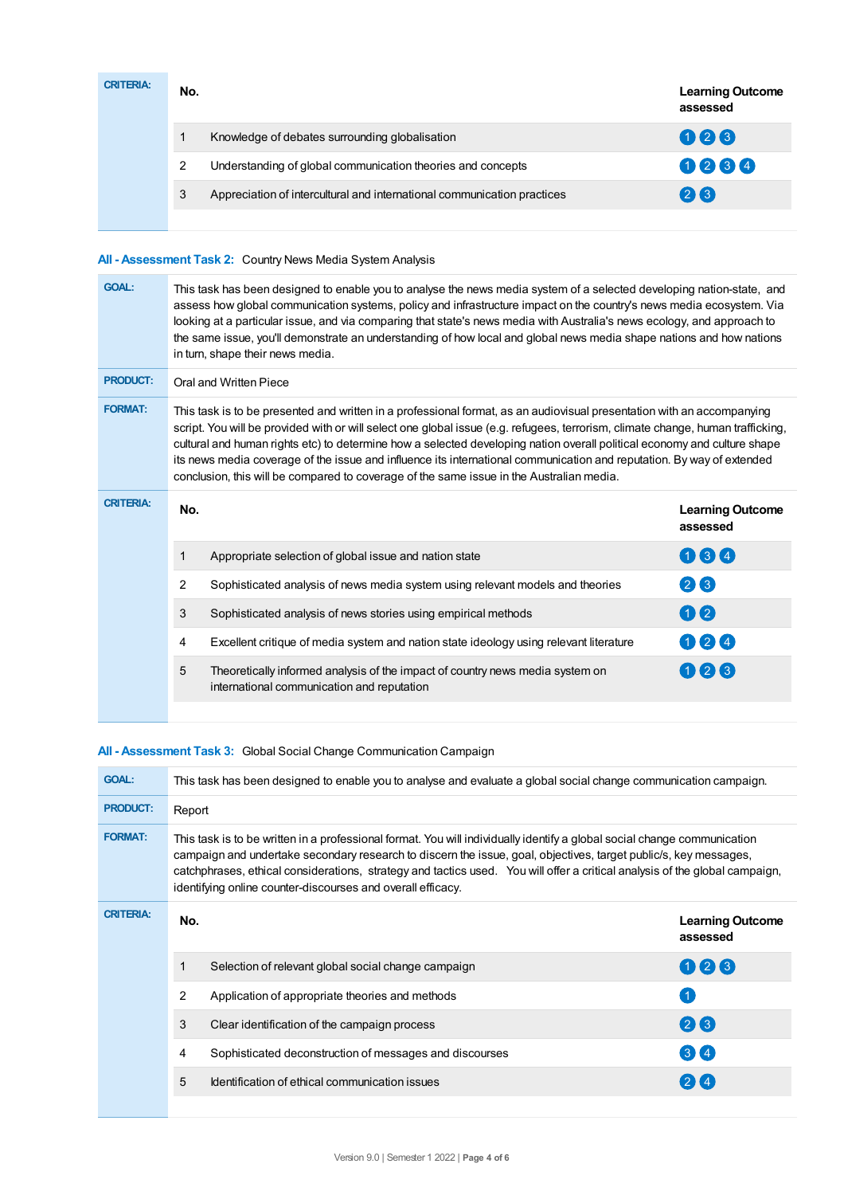| <b>CRITERIA:</b> | No. |                                                                         | <b>Learning Outcome</b><br>assessed |
|------------------|-----|-------------------------------------------------------------------------|-------------------------------------|
|                  |     | Knowledge of debates surrounding globalisation                          | 006                                 |
|                  | 2   | Understanding of global communication theories and concepts             | 0264                                |
|                  | 3   | Appreciation of intercultural and international communication practices | 26                                  |
|                  |     |                                                                         |                                     |

# **All - Assessment Task 2:** Country News Media System Analysis

| <b>GOAL:</b>     | This task has been designed to enable you to analyse the news media system of a selected developing nation-state, and<br>assess how global communication systems, policy and infrastructure impact on the country's news media ecosystem. Via<br>looking at a particular issue, and via comparing that state's news media with Australia's news ecology, and approach to<br>the same issue, you'll demonstrate an understanding of how local and global news media shape nations and how nations<br>in turn, shape their news media.                                                                       |                                                                                                                             |                                     |  |  |
|------------------|------------------------------------------------------------------------------------------------------------------------------------------------------------------------------------------------------------------------------------------------------------------------------------------------------------------------------------------------------------------------------------------------------------------------------------------------------------------------------------------------------------------------------------------------------------------------------------------------------------|-----------------------------------------------------------------------------------------------------------------------------|-------------------------------------|--|--|
| <b>PRODUCT:</b>  | Oral and Written Piece                                                                                                                                                                                                                                                                                                                                                                                                                                                                                                                                                                                     |                                                                                                                             |                                     |  |  |
| <b>FORMAT:</b>   | This task is to be presented and written in a professional format, as an audiovisual presentation with an accompanying<br>script. You will be provided with or will select one global issue (e.g. refugees, terrorism, climate change, human trafficking,<br>cultural and human rights etc) to determine how a selected developing nation overall political economy and culture shape<br>its news media coverage of the issue and influence its international communication and reputation. By way of extended<br>conclusion, this will be compared to coverage of the same issue in the Australian media. |                                                                                                                             |                                     |  |  |
| <b>CRITERIA:</b> | No.                                                                                                                                                                                                                                                                                                                                                                                                                                                                                                                                                                                                        |                                                                                                                             | <b>Learning Outcome</b><br>assessed |  |  |
|                  | 1                                                                                                                                                                                                                                                                                                                                                                                                                                                                                                                                                                                                          | Appropriate selection of global issue and nation state                                                                      | 064                                 |  |  |
|                  | $\overline{2}$                                                                                                                                                                                                                                                                                                                                                                                                                                                                                                                                                                                             | Sophisticated analysis of news media system using relevant models and theories                                              | 26                                  |  |  |
|                  | 3                                                                                                                                                                                                                                                                                                                                                                                                                                                                                                                                                                                                          | Sophisticated analysis of news stories using empirical methods                                                              | 00                                  |  |  |
|                  | 4                                                                                                                                                                                                                                                                                                                                                                                                                                                                                                                                                                                                          | Excellent critique of media system and nation state ideology using relevant literature                                      | 024                                 |  |  |
|                  | 5                                                                                                                                                                                                                                                                                                                                                                                                                                                                                                                                                                                                          | Theoretically informed analysis of the impact of country news media system on<br>international communication and reputation | 026                                 |  |  |

# **All - Assessment Task 3:** Global Social Change Communication Campaign

| <b>GOAL:</b>     | This task has been designed to enable you to analyse and evaluate a global social change communication campaign.                                                                                                                                                                                                                                                                                                                           |                                                         |                                     |  |  |
|------------------|--------------------------------------------------------------------------------------------------------------------------------------------------------------------------------------------------------------------------------------------------------------------------------------------------------------------------------------------------------------------------------------------------------------------------------------------|---------------------------------------------------------|-------------------------------------|--|--|
| <b>PRODUCT:</b>  | Report                                                                                                                                                                                                                                                                                                                                                                                                                                     |                                                         |                                     |  |  |
| <b>FORMAT:</b>   | This task is to be written in a professional format. You will individually identify a global social change communication<br>campaign and undertake secondary research to discern the issue, goal, objectives, target public/s, key messages,<br>catchphrases, ethical considerations, strategy and tactics used. You will offer a critical analysis of the global campaign,<br>identifying online counter-discourses and overall efficacy. |                                                         |                                     |  |  |
| <b>CRITERIA:</b> | No.                                                                                                                                                                                                                                                                                                                                                                                                                                        |                                                         | <b>Learning Outcome</b><br>assessed |  |  |
|                  | 1                                                                                                                                                                                                                                                                                                                                                                                                                                          | Selection of relevant global social change campaign     | 008                                 |  |  |
|                  | $\mathcal{P}$                                                                                                                                                                                                                                                                                                                                                                                                                              | Application of appropriate theories and methods         |                                     |  |  |
|                  | 3                                                                                                                                                                                                                                                                                                                                                                                                                                          | Clear identification of the campaign process            | 26                                  |  |  |
|                  | 4                                                                                                                                                                                                                                                                                                                                                                                                                                          | Sophisticated deconstruction of messages and discourses | 3 <sup>4</sup>                      |  |  |
|                  | 5                                                                                                                                                                                                                                                                                                                                                                                                                                          | Identification of ethical communication issues          | 24                                  |  |  |
|                  |                                                                                                                                                                                                                                                                                                                                                                                                                                            |                                                         |                                     |  |  |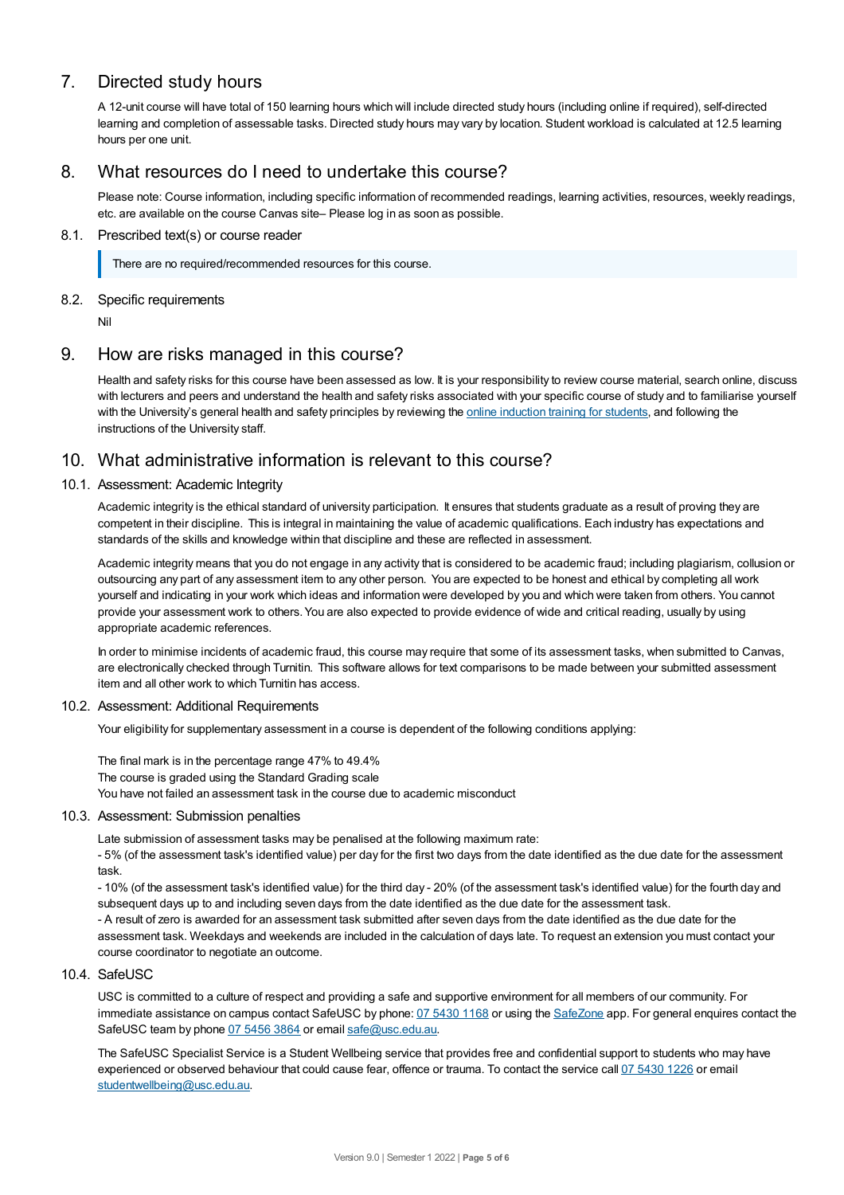# 7. Directed study hours

A 12-unit course will have total of 150 learning hours which will include directed study hours (including online if required), self-directed learning and completion of assessable tasks. Directed study hours may vary by location. Student workload is calculated at 12.5 learning hours per one unit.

# 8. What resources do I need to undertake this course?

Please note: Course information, including specific information of recommended readings, learning activities, resources, weekly readings, etc. are available on the course Canvas site– Please log in as soon as possible.

## 8.1. Prescribed text(s) or course reader

There are no required/recommended resources for this course.

## 8.2. Specific requirements

Nil

# 9. How are risks managed in this course?

Health and safety risks for this course have been assessed as low. It is your responsibility to review course material, search online, discuss with lecturers and peers and understand the health and safety risks associated with your specific course of study and to familiarise yourself with the University's general health and safety principles by reviewing the online [induction](https://online.usc.edu.au/webapps/blackboard/content/listContentEditable.jsp?content_id=_632657_1&course_id=_14432_1) training for students, and following the instructions of the University staff.

# 10. What administrative information is relevant to this course?

## 10.1. Assessment: Academic Integrity

Academic integrity is the ethical standard of university participation. It ensures that students graduate as a result of proving they are competent in their discipline. This is integral in maintaining the value of academic qualifications. Each industry has expectations and standards of the skills and knowledge within that discipline and these are reflected in assessment.

Academic integrity means that you do not engage in any activity that is considered to be academic fraud; including plagiarism, collusion or outsourcing any part of any assessment item to any other person. You are expected to be honest and ethical by completing all work yourself and indicating in your work which ideas and information were developed by you and which were taken from others. You cannot provide your assessment work to others.You are also expected to provide evidence of wide and critical reading, usually by using appropriate academic references.

In order to minimise incidents of academic fraud, this course may require that some of its assessment tasks, when submitted to Canvas, are electronically checked through Turnitin. This software allows for text comparisons to be made between your submitted assessment item and all other work to which Turnitin has access.

## 10.2. Assessment: Additional Requirements

Your eligibility for supplementary assessment in a course is dependent of the following conditions applying:

The final mark is in the percentage range 47% to 49.4% The course is graded using the Standard Grading scale You have not failed an assessment task in the course due to academic misconduct

#### 10.3. Assessment: Submission penalties

Late submission of assessment tasks may be penalised at the following maximum rate:

- 5% (of the assessment task's identified value) per day for the first two days from the date identified as the due date for the assessment task.

- 10% (of the assessment task's identified value) for the third day - 20% (of the assessment task's identified value) for the fourth day and subsequent days up to and including seven days from the date identified as the due date for the assessment task.

- A result of zero is awarded for an assessment task submitted after seven days from the date identified as the due date for the assessment task. Weekdays and weekends are included in the calculation of days late. To request an extension you must contact your course coordinator to negotiate an outcome.

#### 10.4. SafeUSC

USC is committed to a culture of respect and providing a safe and supportive environment for all members of our community. For immediate assistance on campus contact SafeUSC by phone: 07 [5430](tel:07%205430%201168) 1168 or using the [SafeZone](https://www.safezoneapp.com) app. For general enquires contact the SafeUSC team by phone 07 [5456](tel:07%205456%203864) 3864 or email [safe@usc.edu.au](mailto:safe@usc.edu.au).

The SafeUSC Specialist Service is a Student Wellbeing service that provides free and confidential support to students who may have experienced or observed behaviour that could cause fear, offence or trauma. To contact the service call 07 [5430](tel:07%205430%201226) 1226 or email [studentwellbeing@usc.edu.au](mailto:studentwellbeing@usc.edu.au).